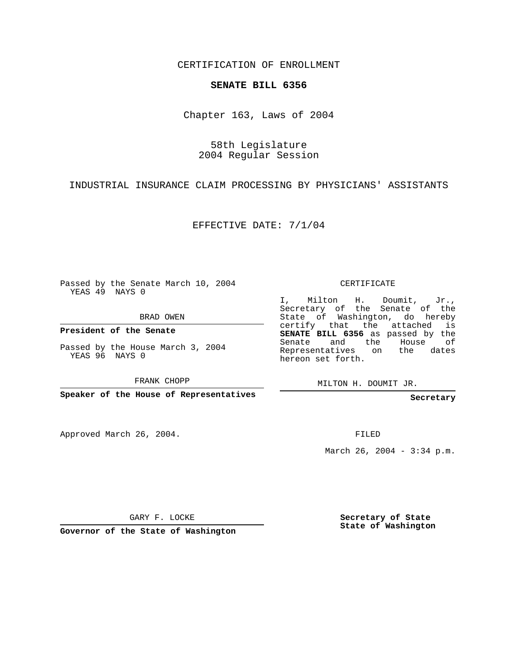CERTIFICATION OF ENROLLMENT

## **SENATE BILL 6356**

Chapter 163, Laws of 2004

58th Legislature 2004 Regular Session

INDUSTRIAL INSURANCE CLAIM PROCESSING BY PHYSICIANS' ASSISTANTS

EFFECTIVE DATE: 7/1/04

Passed by the Senate March 10, 2004 YEAS 49 NAYS 0

BRAD OWEN

**President of the Senate**

Passed by the House March 3, 2004 YEAS 96 NAYS 0

FRANK CHOPP

**Speaker of the House of Representatives**

Approved March 26, 2004.

CERTIFICATE

I, Milton H. Doumit, Jr., Secretary of the Senate of the State of Washington, do hereby certify that the attached is **SENATE BILL 6356** as passed by the Senate and the House of Representatives on the dates hereon set forth.

MILTON H. DOUMIT JR.

**Secretary**

FILED

March 26, 2004 - 3:34 p.m.

GARY F. LOCKE

**Governor of the State of Washington**

**Secretary of State State of Washington**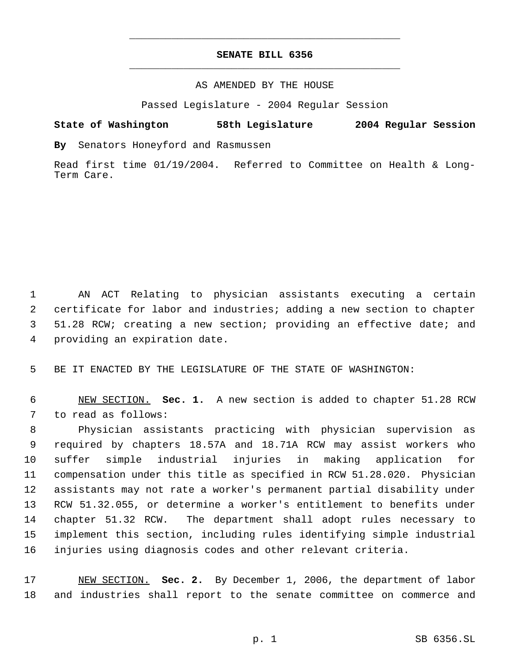## **SENATE BILL 6356** \_\_\_\_\_\_\_\_\_\_\_\_\_\_\_\_\_\_\_\_\_\_\_\_\_\_\_\_\_\_\_\_\_\_\_\_\_\_\_\_\_\_\_\_\_

\_\_\_\_\_\_\_\_\_\_\_\_\_\_\_\_\_\_\_\_\_\_\_\_\_\_\_\_\_\_\_\_\_\_\_\_\_\_\_\_\_\_\_\_\_

## AS AMENDED BY THE HOUSE

Passed Legislature - 2004 Regular Session

## **State of Washington 58th Legislature 2004 Regular Session**

**By** Senators Honeyford and Rasmussen

Read first time 01/19/2004. Referred to Committee on Health & Long-Term Care.

 AN ACT Relating to physician assistants executing a certain certificate for labor and industries; adding a new section to chapter 51.28 RCW; creating a new section; providing an effective date; and providing an expiration date.

BE IT ENACTED BY THE LEGISLATURE OF THE STATE OF WASHINGTON:

 NEW SECTION. **Sec. 1.** A new section is added to chapter 51.28 RCW to read as follows:

 Physician assistants practicing with physician supervision as required by chapters 18.57A and 18.71A RCW may assist workers who suffer simple industrial injuries in making application for compensation under this title as specified in RCW 51.28.020. Physician assistants may not rate a worker's permanent partial disability under RCW 51.32.055, or determine a worker's entitlement to benefits under chapter 51.32 RCW. The department shall adopt rules necessary to implement this section, including rules identifying simple industrial injuries using diagnosis codes and other relevant criteria.

 NEW SECTION. **Sec. 2.** By December 1, 2006, the department of labor and industries shall report to the senate committee on commerce and